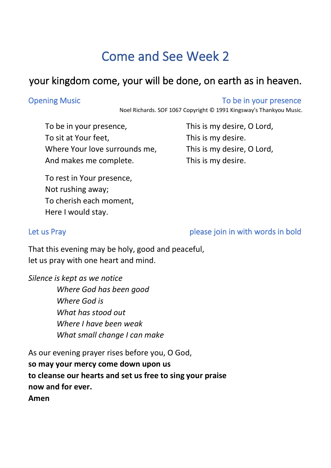# Come and See Week 2

## your kingdom come, your will be done, on earth as in heaven.

### Opening Music **To be in your presence**

Noel Richards. SOF 1067 Copyright © 1991 Kingsway's Thankyou Music.

To be in your presence, To sit at Your feet, Where Your love surrounds me, And makes me complete.

This is my desire, O Lord, This is my desire. This is my desire, O Lord, This is my desire.

To rest in Your presence, Not rushing away; To cherish each moment, Here I would stay.

Let us Pray **please in the ULE of the ULE SET** please join in with words in bold

That this evening may be holy, good and peaceful, let us pray with one heart and mind.

*Silence is kept as we notice Where God has been good Where God is What has stood out Where I have been weak What small change I can make*

As our evening prayer rises before you, O God, **so may your mercy come down upon us to cleanse our hearts and set us free to sing your praise now and for ever. Amen**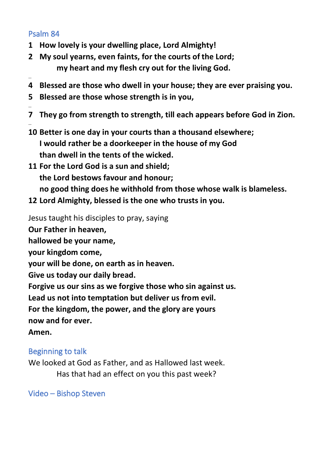### Psalm 84

…

…

…

- **1 How lovely is your dwelling place, Lord Almighty!**
- **2 My soul yearns, even faints, for the courts of the Lord; my heart and my flesh cry out for the living God.**
- **4 Blessed are those who dwell in your house; they are ever praising you.**
- **5 Blessed are those whose strength is in you,**
- **7 They go from strength to strength, till each appears before God in Zion.**
- **10 Better is one day in your courts than a thousand elsewhere; I would rather be a doorkeeper in the house of my God than dwell in the tents of the wicked.**
- **11 For the Lord God is a sun and shield; the Lord bestows favour and honour; no good thing does he withhold from those whose walk is blameless.**
- **12 Lord Almighty, blessed is the one who trusts in you.**

Jesus taught his disciples to pray, saying

**Our Father in heaven,**

**hallowed be your name,**

**your kingdom come,**

**your will be done, on earth as in heaven.**

**Give us today our daily bread.**

**Forgive us our sins as we forgive those who sin against us.**

**Lead us not into temptation but deliver us from evil.**

**For the kingdom, the power, and the glory are yours**

**now and for ever.**

**Amen.**

### Beginning to talk

We looked at God as Father, and as Hallowed last week. Has that had an effect on you this past week?

Video – Bishop Steven